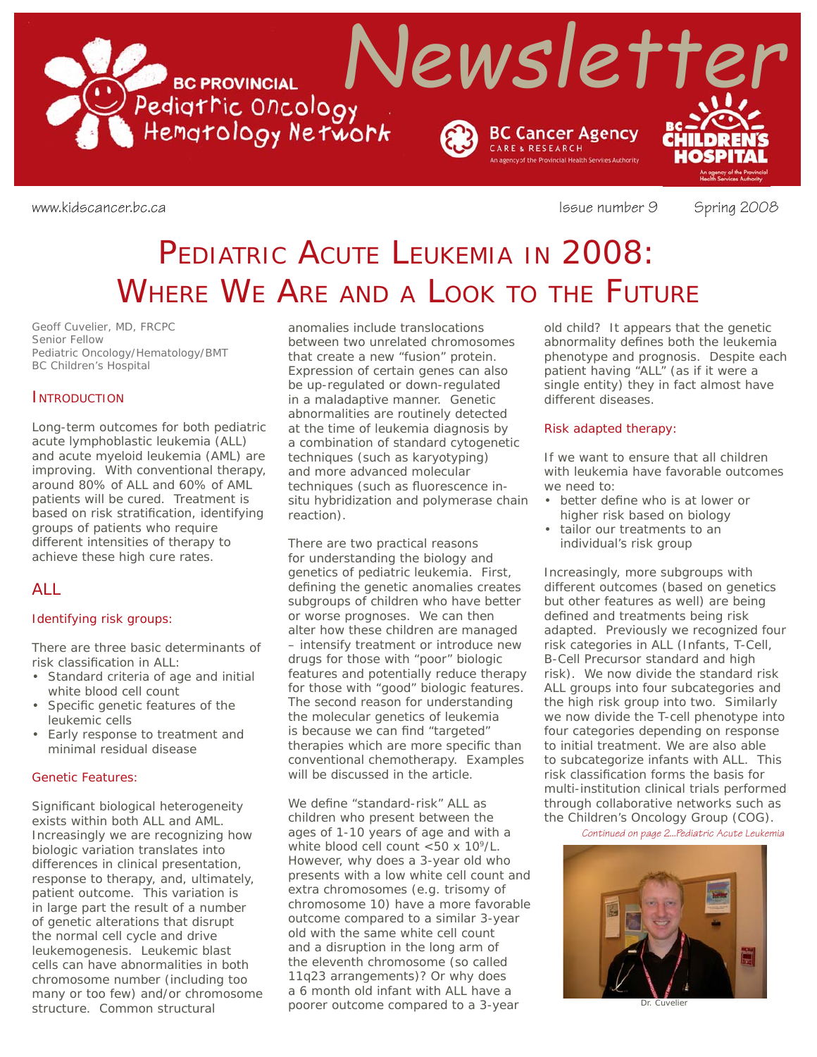

www.kidscancer.bc.ca **Issue number 9** Spring 2008

# PEDIATRIC ACUTE LEUKEMIA IN 2008: WHERE WE ARE AND A LOOK TO THE FUTURE

*Geoff Cuvelier, MD, FRCPC Senior Fellow Pediatric Oncology/Hematology/BMT BC Children's Hospital*

### **INTRODUCTION**

Long-term outcomes for both pediatric acute lymphoblastic leukemia (ALL) and acute myeloid leukemia (AML) are improving. With conventional therapy, around 80% of ALL and 60% of AML patients will be cured. Treatment is based on risk stratification, identifying groups of patients who require different intensities of therapy to achieve these high cure rates.

### ALL

### Identifying risk groups:

There are three basic determinants of risk classification in ALL:

- Standard criteria of age and initial white blood cell count
- Specific genetic features of the leukemic cells
- Early response to treatment and minimal residual disease

### Genetic Features:

Significant biological heterogeneity exists within both ALL and AML. Increasingly we are recognizing how biologic variation translates into differences in clinical presentation, response to therapy, and, ultimately, patient outcome. This variation is in large part the result of a number of genetic alterations that disrupt the normal cell cycle and drive leukemogenesis. Leukemic blast cells can have abnormalities in both chromosome number (including too many or too few) and/or chromosome structure. Common structural

anomalies include translocations between two unrelated chromosomes that create a new "fusion" protein. Expression of certain genes can also be up-regulated or down-regulated in a maladaptive manner. Genetic abnormalities are routinely detected at the time of leukemia diagnosis by a combination of standard cytogenetic techniques (such as karyotyping) and more advanced molecular techniques (such as fluorescence insitu hybridization and polymerase chain reaction).

There are two practical reasons for understanding the biology and genetics of pediatric leukemia. First, defining the genetic anomalies creates subgroups of children who have better or worse prognoses. We can then alter how these children are managed – intensify treatment or introduce new drugs for those with "poor" biologic features and potentially reduce therapy for those with "good" biologic features. The second reason for understanding the molecular genetics of leukemia is because we can find "targeted" therapies which are more specific than conventional chemotherapy. Examples will be discussed in the article.

We define "standard-risk" ALL as children who present between the ages of 1-10 years of age and with a white blood cell count <50 x 10<sup>9</sup>/L. However, why does a 3-year old who presents with a low white cell count and extra chromosomes (e.g. trisomy of chromosome 10) have a more favorable outcome compared to a similar 3-year old with the same white cell count and a disruption in the long arm of the eleventh chromosome (so called 11q23 arrangements)? Or why does a 6 month old infant with ALL have a poorer outcome compared to a 3-year

old child? It appears that the genetic abnormality defines both the leukemia phenotype and prognosis. Despite each patient having "ALL" (as if it were a single entity) they in fact almost have different diseases.

### Risk adapted therapy:

If we want to ensure that all children with leukemia have favorable outcomes we need to:

- better define who is at lower or higher risk based on biology
- tailor our treatments to an individual's risk group

Increasingly, more subgroups with different outcomes (based on genetics but other features as well) are being defined and treatments being risk adapted. Previously we recognized four risk categories in ALL (Infants, T-Cell, B-Cell Precursor standard and high risk). We now divide the standard risk ALL groups into four subcategories and the high risk group into two. Similarly we now divide the T-cell phenotype into four categories depending on response to initial treatment. We are also able to subcategorize infants with ALL. This risk classification forms the basis for multi-institution clinical trials performed through collaborative networks such as the Children's Oncology Group (COG).

*Continued on page 2...Pediatric Acute Leukemia*



Dr. Cuvelier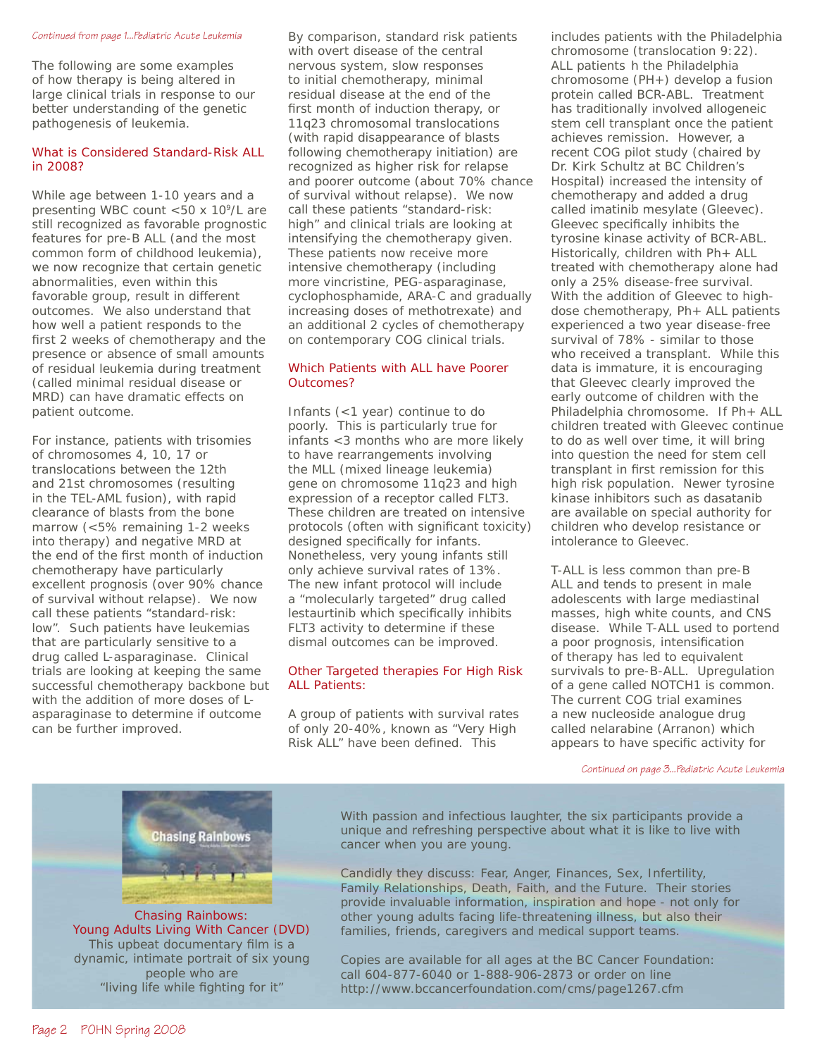#### *Continued from page 1...Pediatric Acute Leukemia*

The following are some examples of how therapy is being altered in large clinical trials in response to our better understanding of the genetic pathogenesis of leukemia.

### What is Considered Standard-Risk ALL in 2008?

While age between 1-10 years and a presenting WBC count  $<$  50 x 10<sup>9</sup>/L are still recognized as favorable prognostic features for pre-B ALL (and the most common form of childhood leukemia), we now recognize that certain genetic abnormalities, even within this favorable group, result in different outcomes. We also understand that how well a patient responds to the first 2 weeks of chemotherapy and the presence or absence of small amounts of residual leukemia during treatment (called minimal residual disease or MRD) can have dramatic effects on patient outcome.

For instance, patients with trisomies of chromosomes 4, 10, 17 or translocations between the 12th and 21st chromosomes (resulting in the TEL-AML fusion), with rapid clearance of blasts from the bone marrow (<5% remaining 1-2 weeks into therapy) and negative MRD at the end of the first month of induction chemotherapy have particularly excellent prognosis (over 90% chance of survival without relapse). We now call these patients "standard-risk: low". Such patients have leukemias that are particularly sensitive to a drug called L-asparaginase. Clinical trials are looking at keeping the same successful chemotherapy backbone but with the addition of more doses of Lasparaginase to determine if outcome can be further improved.

By comparison, standard risk patients with overt disease of the central nervous system, slow responses to initial chemotherapy, minimal residual disease at the end of the first month of induction therapy, or 11q23 chromosomal translocations (with rapid disappearance of blasts following chemotherapy initiation) are recognized as higher risk for relapse and poorer outcome (about 70% chance of survival without relapse). We now call these patients "standard-risk: high" and clinical trials are looking at intensifying the chemotherapy given. These patients now receive more intensive chemotherapy (including more vincristine, PEG-asparaginase, cyclophosphamide, ARA-C and gradually increasing doses of methotrexate) and an additional 2 cycles of chemotherapy on contemporary COG clinical trials.

### Which Patients with ALL have Poorer Outcomes?

Infants (<1 year) continue to do poorly. This is particularly true for infants <3 months who are more likely to have rearrangements involving the MLL (mixed lineage leukemia) gene on chromosome 11q23 and high expression of a receptor called FLT3. These children are treated on intensive protocols (often with significant toxicity) designed specifically for infants. Nonetheless, very young infants still only achieve survival rates of 13%. The new infant protocol will include a "molecularly targeted" drug called lestaurtinib which specifically inhibits FLT3 activity to determine if these dismal outcomes can be improved.

### Other Targeted therapies For High Risk ALL Patients:

A group of patients with survival rates of only 20-40%, known as "Very High Risk ALL" have been defined. This

includes patients with the Philadelphia chromosome (translocation 9:22). ALL patients h the Philadelphia chromosome (PH+) develop a fusion protein called BCR-ABL. Treatment has traditionally involved allogeneic stem cell transplant once the patient achieves remission. However, a recent COG pilot study (chaired by Dr. Kirk Schultz at BC Children's Hospital) increased the intensity of chemotherapy and added a drug called imatinib mesylate (Gleevec). Gleevec specifically inhibits the tyrosine kinase activity of BCR-ABL. Historically, children with Ph+ ALL treated with chemotherapy alone had only a 25% disease-free survival. With the addition of Gleevec to highdose chemotherapy, Ph+ ALL patients experienced a two year disease-free survival of 78% - similar to those who received a transplant. While this data is immature, it is encouraging that Gleevec clearly improved the early outcome of children with the Philadelphia chromosome. If Ph+ ALL children treated with Gleevec continue to do as well over time, it will bring into question the need for stem cell transplant in first remission for this high risk population. Newer tyrosine kinase inhibitors such as dasatanib are available on special authority for children who develop resistance or intolerance to Gleevec.

T-ALL is less common than pre-B ALL and tends to present in male adolescents with large mediastinal masses, high white counts, and CNS disease. While T-ALL used to portend a poor prognosis, intensification of therapy has led to equivalent survivals to pre-B-ALL. Upregulation of a gene called NOTCH1 is common. The current COG trial examines a new nucleoside analogue drug called nelarabine (Arranon) which appears to have specific activity for

*Continued on page 3...Pediatric Acute Leukemia*



people who are "living life while fighting for it" With passion and infectious laughter, the six participants provide a unique and refreshing perspective about what it is like to live with cancer when you are young.

Candidly they discuss: Fear, Anger, Finances, Sex, Infertility, Family Relationships, Death, Faith, and the Future. Their stories provide invaluable information, inspiration and hope - not only for other young adults facing life-threatening illness, but also their families, friends, caregivers and medical support teams.

Copies are available for all ages at the BC Cancer Foundation: call 604-877-6040 or 1-888-906-2873 or order on line http://www.bccancerfoundation.com/cms/page1267.cfm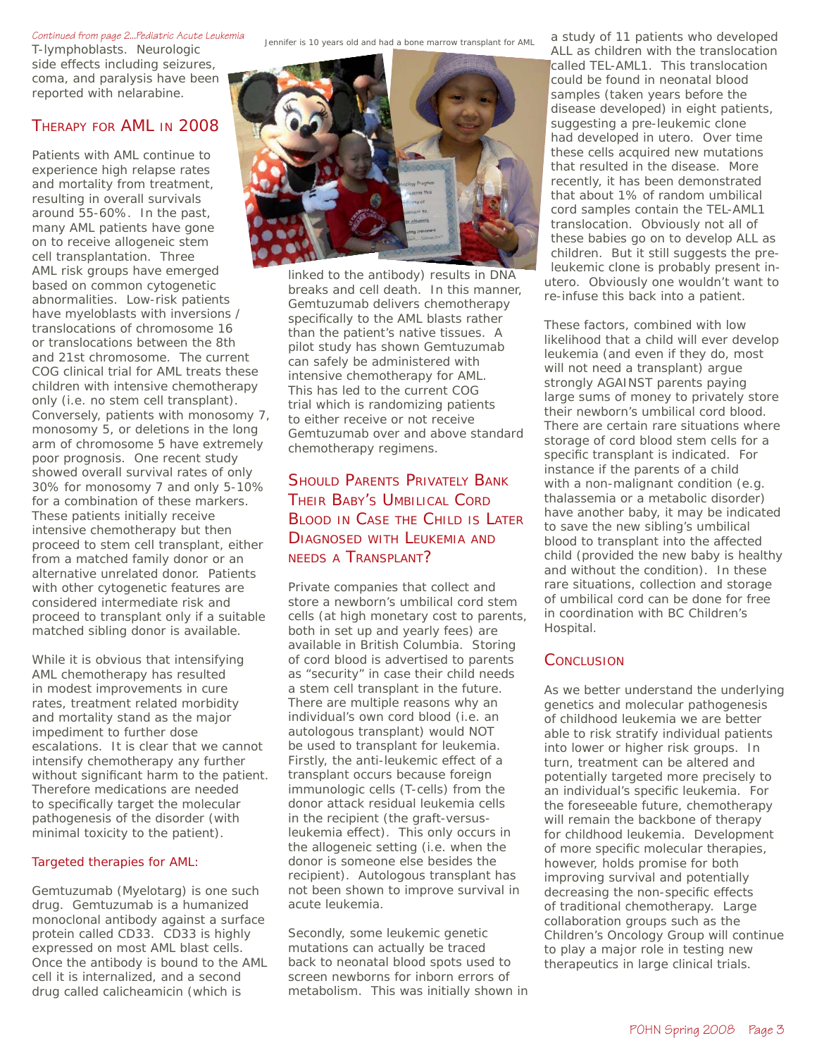#### *Continued from page 2...Pediatric Acute Leukemia*

T-lymphoblasts. Neurologic side effects including seizures, coma, and paralysis have been reported with nelarabine.

### THERAPY FOR AML IN 2008

Patients with AML continue to experience high relapse rates and mortality from treatment, resulting in overall survivals around 55-60%. In the past, many AML patients have gone on to receive allogeneic stem cell transplantation. Three AML risk groups have emerged based on common cytogenetic abnormalities. Low-risk patients have myeloblasts with inversions / translocations of chromosome 16 or translocations between the 8th and 21st chromosome. The current COG clinical trial for AML treats these children with intensive chemotherapy only (i.e. no stem cell transplant). Conversely, patients with monosomy 7, monosomy 5, or deletions in the long arm of chromosome 5 have extremely poor prognosis. One recent study showed overall survival rates of only 30% for monosomy 7 and only 5-10% for a combination of these markers. These patients initially receive intensive chemotherapy but then proceed to stem cell transplant, either from a matched family donor or an alternative unrelated donor. Patients with other cytogenetic features are considered intermediate risk and proceed to transplant only if a suitable matched sibling donor is available.

While it is obvious that intensifying AML chemotherapy has resulted in modest improvements in cure rates, treatment related morbidity and mortality stand as the major impediment to further dose escalations. It is clear that we cannot intensify chemotherapy any further without significant harm to the patient. Therefore medications are needed to specifically target the molecular pathogenesis of the disorder (with minimal toxicity to the patient).

### Targeted therapies for AML:

Gemtuzumab (Myelotarg) is one such drug. Gemtuzumab is a humanized monoclonal antibody against a surface protein called CD33. CD33 is highly expressed on most AML blast cells. Once the antibody is bound to the AML cell it is internalized, and a second drug called calicheamicin (which is

Jennifer is 10 years old and had a bone marrow transplant for AML



linked to the antibody) results in DNA breaks and cell death. In this manner, Gemtuzumab delivers chemotherapy specifically to the AML blasts rather than the patient's native tissues. A pilot study has shown Gemtuzumab can safely be administered with intensive chemotherapy for AML. This has led to the current COG trial which is randomizing patients to either receive or not receive Gemtuzumab over and above standard chemotherapy regimens.

### SHOULD PARENTS PRIVATELY BANK THEIR BABY'S UMBILICAL CORD BLOOD IN CASE THE CHILD IS LATER DIAGNOSED WITH LEUKEMIA AND NEEDS A TRANSPLANT?

Private companies that collect and store a newborn's umbilical cord stem cells (at high monetary cost to parents, both in set up and yearly fees) are available in British Columbia. Storing of cord blood is advertised to parents as "security" in case their child needs a stem cell transplant in the future. There are multiple reasons why an individual's own cord blood (i.e. an autologous transplant) would NOT be used to transplant for leukemia. Firstly, the anti-leukemic effect of a transplant occurs because foreign immunologic cells (T-cells) from the donor attack residual leukemia cells in the recipient (the graft-versusleukemia effect). This only occurs in the allogeneic setting (i.e. when the donor is someone else besides the recipient). Autologous transplant has not been shown to improve survival in acute leukemia.

Secondly, some leukemic genetic mutations can actually be traced back to neonatal blood spots used to screen newborns for inborn errors of metabolism. This was initially shown in

a study of 11 patients who developed ALL as children with the translocation called TEL-AML1. This translocation could be found in neonatal blood samples (taken years before the disease developed) in eight patients, suggesting a pre-leukemic clone had developed in utero. Over time these cells acquired new mutations that resulted in the disease. More recently, it has been demonstrated that about 1% of random umbilical cord samples contain the TEL-AML1 translocation. Obviously not all of these babies go on to develop ALL as children. But it still suggests the preleukemic clone is probably present inutero. Obviously one wouldn't want to re-infuse this back into a patient.

These factors, combined with low likelihood that a child will ever develop leukemia (and even if they do, most will not need a transplant) argue strongly AGAINST parents paying large sums of money to privately store their newborn's umbilical cord blood. There are certain rare situations where storage of cord blood stem cells for a specific transplant is indicated. For instance if the parents of a child with a non-malignant condition (e.g. thalassemia or a metabolic disorder) have another baby, it may be indicated to save the new sibling's umbilical blood to transplant into the affected child (provided the new baby is healthy and without the condition). In these rare situations, collection and storage of umbilical cord can be done for free in coordination with BC Children's Hospital.

### **CONCLUSION**

As we better understand the underlying genetics and molecular pathogenesis of childhood leukemia we are better able to risk stratify individual patients into lower or higher risk groups. In turn, treatment can be altered and potentially targeted more precisely to an individual's specific leukemia. For the foreseeable future, chemotherapy will remain the backbone of therapy for childhood leukemia. Development of more specific molecular therapies, however, holds promise for both improving survival and potentially decreasing the non-specific effects of traditional chemotherapy. Large collaboration groups such as the Children's Oncology Group will continue to play a major role in testing new therapeutics in large clinical trials.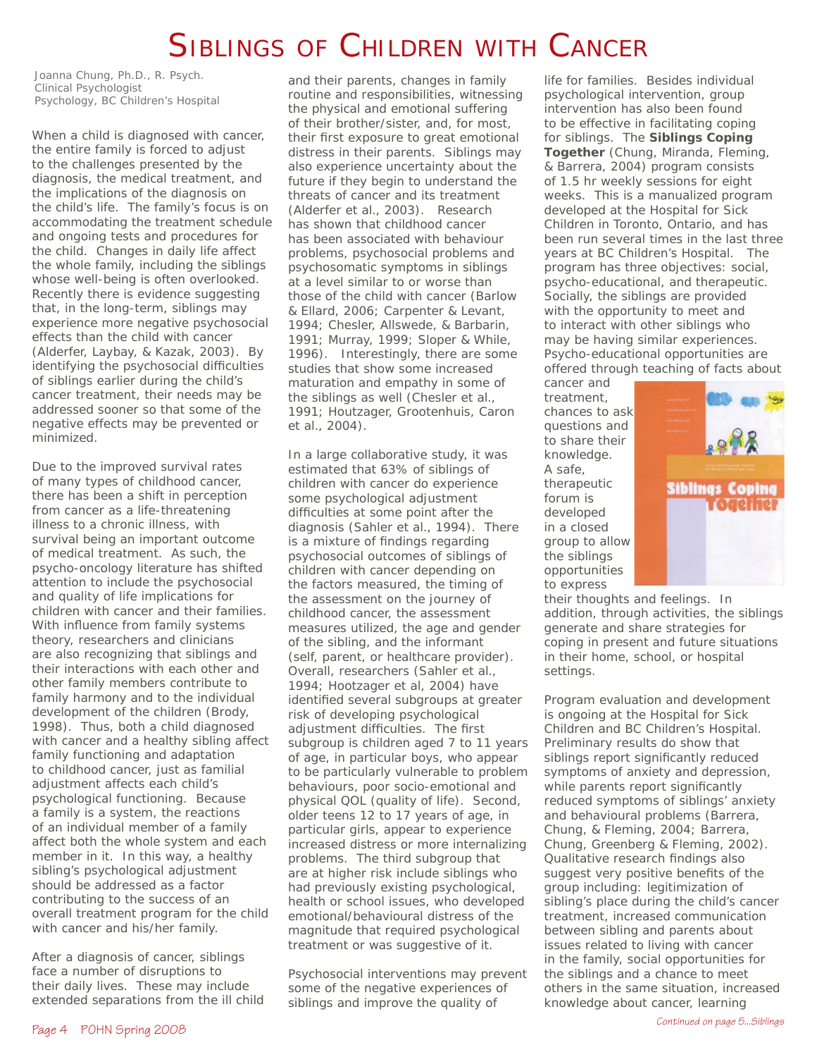# SIBLINGS OF CHILDREN WITH CANCER

*Joanna Chung, Ph.D., R. Psych. Clinical Psychologist Psychology, BC Children's Hospital*

When a child is diagnosed with cancer, the entire family is forced to adjust to the challenges presented by the diagnosis, the medical treatment, and the implications of the diagnosis on the child's life. The family's focus is on accommodating the treatment schedule and ongoing tests and procedures for the child. Changes in daily life affect the whole family, including the siblings whose well-being is often overlooked. Recently there is evidence suggesting that, in the long-term, siblings may experience more negative psychosocial effects than the child with cancer (Alderfer, Laybay, & Kazak, 2003). By identifying the psychosocial difficulties of siblings earlier during the child's cancer treatment, their needs may be addressed sooner so that some of the negative effects may be prevented or minimized.

Due to the improved survival rates of many types of childhood cancer, there has been a shift in perception from cancer as a life-threatening illness to a chronic illness, with survival being an important outcome of medical treatment. As such, the psycho-oncology literature has shifted attention to include the psychosocial and quality of life implications for children with cancer and their families. With influence from family systems theory, researchers and clinicians are also recognizing that siblings and their interactions with each other and other family members contribute to family harmony and to the individual development of the children (Brody, 1998). Thus, both a child diagnosed with cancer and a healthy sibling affect family functioning and adaptation to childhood cancer, just as familial adjustment affects each child's psychological functioning. Because a family is a system, the reactions of an individual member of a family affect both the whole system and each member in it. In this way, a healthy sibling's psychological adjustment should be addressed as a factor contributing to the success of an overall treatment program for the child with cancer and his/her family.

After a diagnosis of cancer, siblings face a number of disruptions to their daily lives. These may include extended separations from the ill child and their parents, changes in family routine and responsibilities, witnessing the physical and emotional suffering of their brother/sister, and, for most, their first exposure to great emotional distress in their parents. Siblings may also experience uncertainty about the future if they begin to understand the threats of cancer and its treatment (Alderfer et al., 2003). Research has shown that childhood cancer has been associated with behaviour problems, psychosocial problems and psychosomatic symptoms in siblings at a level similar to or worse than those of the child with cancer (Barlow & Ellard, 2006; Carpenter & Levant, 1994; Chesler, Allswede, & Barbarin, 1991; Murray, 1999; Sloper & While, 1996). Interestingly, there are some studies that show some increased maturation and empathy in some of the siblings as well (Chesler et al., 1991; Houtzager, Grootenhuis, Caron et al., 2004).

In a large collaborative study, it was estimated that 63% of siblings of children with cancer do experience some psychological adjustment difficulties at some point after the diagnosis (Sahler et al., 1994). There is a mixture of findings regarding psychosocial outcomes of siblings of children with cancer depending on the factors measured, the timing of the assessment on the journey of childhood cancer, the assessment measures utilized, the age and gender of the sibling, and the informant (self, parent, or healthcare provider). Overall, researchers (Sahler et al., 1994; Hootzager et al, 2004) have identified several subgroups at greater risk of developing psychological adjustment difficulties. The first subgroup is children aged 7 to 11 years of age, in particular boys, who appear to be particularly vulnerable to problem behaviours, poor socio-emotional and physical QOL (quality of life). Second, older teens 12 to 17 years of age, in particular girls, appear to experience increased distress or more internalizing problems. The third subgroup that are at higher risk include siblings who had previously existing psychological, health or school issues, who developed emotional/behavioural distress of the magnitude that required psychological treatment or was suggestive of it.

Psychosocial interventions may prevent some of the negative experiences of siblings and improve the quality of

life for families. Besides individual psychological intervention, group intervention has also been found to be effective in facilitating coping for siblings. The **Siblings Coping Together** (Chung, Miranda, Fleming, & Barrera, 2004) program consists of 1.5 hr weekly sessions for eight weeks. This is a manualized program developed at the Hospital for Sick Children in Toronto, Ontario, and has been run several times in the last three years at BC Children's Hospital. The program has three objectives: social, psycho-educational, and therapeutic. Socially, the siblings are provided with the opportunity to meet and to interact with other siblings who may be having similar experiences. Psycho-educational opportunities are offered through teaching of facts about

cancer and treatment, chances to ask questions and to share their knowledge. A safe, therapeutic forum is developed in a closed group to allow the siblings opportunities to express



their thoughts and feelings. In addition, through activities, the siblings generate and share strategies for coping in present and future situations in their home, school, or hospital settings.

Program evaluation and development is ongoing at the Hospital for Sick Children and BC Children's Hospital. Preliminary results do show that siblings report significantly reduced symptoms of anxiety and depression, while parents report significantly reduced symptoms of siblings' anxiety and behavioural problems (Barrera, Chung, & Fleming, 2004; Barrera, Chung, Greenberg & Fleming, 2002). Qualitative research findings also suggest very positive benefits of the group including: legitimization of sibling's place during the child's cancer treatment, increased communication between sibling and parents about issues related to living with cancer in the family, social opportunities for the siblings and a chance to meet others in the same situation, increased knowledge about cancer, learning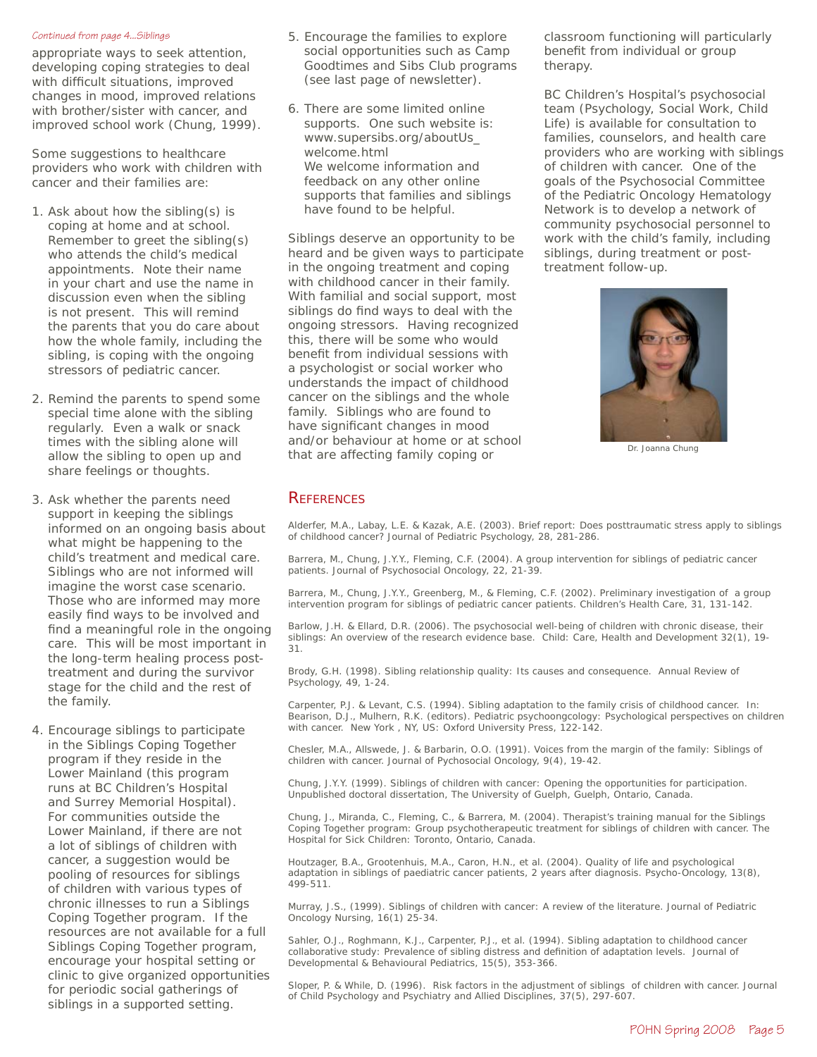#### *Continued from page 4...Siblings*

appropriate ways to seek attention, developing coping strategies to deal with difficult situations, improved changes in mood, improved relations with brother/sister with cancer, and improved school work (Chung, 1999).

Some suggestions to healthcare providers who work with children with cancer and their families are:

- 1. Ask about how the sibling(s) is coping at home and at school. Remember to greet the sibling(s) who attends the child's medical appointments. Note their name in your chart and use the name in discussion even when the sibling is not present. This will remind the parents that you do care about how the whole family, including the sibling, is coping with the ongoing stressors of pediatric cancer.
- 2. Remind the parents to spend some special time alone with the sibling regularly. Even a walk or snack times with the sibling alone will allow the sibling to open up and share feelings or thoughts.
- 3. Ask whether the parents need support in keeping the siblings informed on an ongoing basis about what might be happening to the child's treatment and medical care. Siblings who are not informed will imagine the worst case scenario. Those who are informed may more easily find ways to be involved and find a meaningful role in the ongoing care. This will be most important in the long-term healing process posttreatment and during the survivor stage for the child and the rest of the family.
- 4. Encourage siblings to participate in the Siblings Coping Together program if they reside in the Lower Mainland (this program runs at BC Children's Hospital and Surrey Memorial Hospital). For communities outside the Lower Mainland, if there are not a lot of siblings of children with cancer, a suggestion would be pooling of resources for siblings of children with various types of chronic illnesses to run a Siblings Coping Together program. If the resources are not available for a full Siblings Coping Together program, encourage your hospital setting or clinic to give organized opportunities for periodic social gatherings of siblings in a supported setting.
- 5. Encourage the families to explore social opportunities such as Camp Goodtimes and Sibs Club programs (see last page of newsletter).
- 6. There are some limited online supports. One such website is: www.supersibs.org/aboutUs\_ welcome.html We welcome information and feedback on any other online supports that families and siblings have found to be helpful.

Siblings deserve an opportunity to be heard and be given ways to participate in the ongoing treatment and coping with childhood cancer in their family. With familial and social support, most siblings do find ways to deal with the ongoing stressors. Having recognized this, there will be some who would benefit from individual sessions with a psychologist or social worker who understands the impact of childhood cancer on the siblings and the whole family. Siblings who are found to have significant changes in mood and/or behaviour at home or at school that are affecting family coping or

classroom functioning will particularly benefit from individual or group therapy.

BC Children's Hospital's psychosocial team (Psychology, Social Work, Child Life) is available for consultation to families, counselors, and health care providers who are working with siblings of children with cancer. One of the goals of the Psychosocial Committee of the Pediatric Oncology Hematology Network is to develop a network of community psychosocial personnel to work with the child's family, including siblings, during treatment or posttreatment follow-up.



Dr. Joanna Chung

### **REFERENCES**

Alderfer, M.A., Labay, L.E. & Kazak, A.E. (2003). Brief report: Does posttraumatic stress apply to siblings of childhood cancer? Journal of Pediatric Psychology, 28, 281-286.

Barrera, M., Chung, J.Y.Y., Fleming, C.F. (2004). A group intervention for siblings of pediatric cancer patients. Journal of Psychosocial Oncology, 22, 21-39.

Barrera, M., Chung, J.Y.Y., Greenberg, M., & Fleming, C.F. (2002). Preliminary investigation of a group intervention program for siblings of pediatric cancer patients. Children's Health Care, 31, 131-142.

Barlow, J.H. & Ellard, D.R. (2006). The psychosocial well-being of children with chronic disease, their siblings: An overview of the research evidence base. Child: Care, Health and Development 32(1), 19- 31.

Brody, G.H. (1998). Sibling relationship quality: Its causes and consequence. Annual Review of Psychology, 49, 1-24.

Carpenter, P.J. & Levant, C.S. (1994). Sibling adaptation to the family crisis of childhood cancer. In: Bearison, D.J., Mulhern, R.K. (editors). Pediatric psychoongcology: Psychological perspectives on children with cancer. New York , NY, US: Oxford University Press, 122-142.

Chesler, M.A., Allswede, J. & Barbarin, O.O. (1991). Voices from the margin of the family: Siblings of children with cancer. Journal of Pychosocial Oncology, 9(4), 19-42.

Chung, J.Y.Y. (1999). Siblings of children with cancer: Opening the opportunities for participation. Unpublished doctoral dissertation, The University of Guelph, Guelph, Ontario, Canada.

Chung, J., Miranda, C., Fleming, C., & Barrera, M. (2004). Therapist's training manual for the Siblings Coping Together program: Group psychotherapeutic treatment for siblings of children with cancer. The Hospital for Sick Children: Toronto, Ontario, Canada.

Houtzager, B.A., Grootenhuis, M.A., Caron, H.N., et al. (2004). Quality of life and psychological adaptation in siblings of paediatric cancer patients, 2 years after diagnosis. Psycho-Oncology, 13(8), 499-511.

Murray, J.S., (1999). Siblings of children with cancer: A review of the literature. Journal of Pediatric Oncology Nursing, 16(1) 25-34.

Sahler, O.J., Roghmann, K.J., Carpenter, P.J., et al. (1994). Sibling adaptation to childhood cancer collaborative study: Prevalence of sibling distress and definition of adaptation levels. Journal of Developmental & Behavioural Pediatrics, 15(5), 353-366.

Sloper, P. & While, D. (1996). Risk factors in the adjustment of siblings of children with cancer. Journal of Child Psychology and Psychiatry and Allied Disciplines, 37(5), 297-607.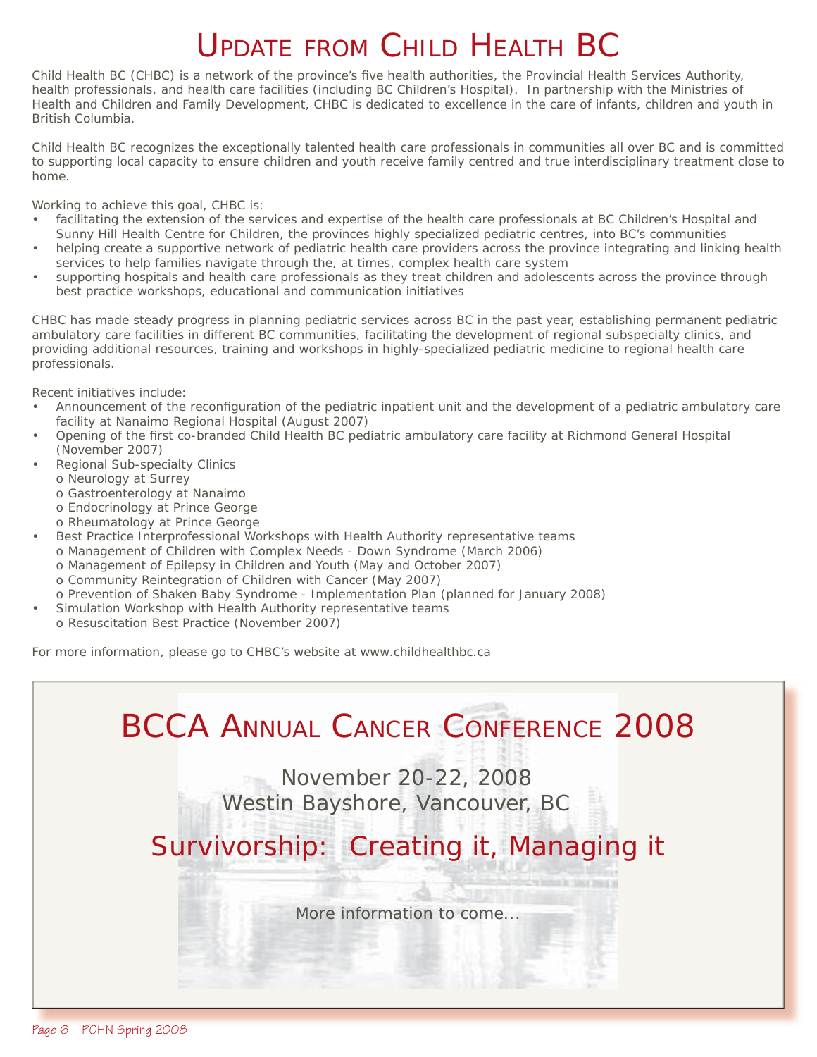# UPDATE FROM CHILD HEALTH BC

Child Health BC (CHBC) is a network of the province's five health authorities, the Provincial Health Services Authority, health professionals, and health care facilities (including BC Children's Hospital). In partnership with the Ministries of Health and Children and Family Development, CHBC is dedicated to excellence in the care of infants, children and youth in British Columbia.

Child Health BC recognizes the exceptionally talented health care professionals in communities all over BC and is committed to supporting local capacity to ensure children and youth receive family centred and true interdisciplinary treatment close to home.

Working to achieve this goal, CHBC is:

- facilitating the extension of the services and expertise of the health care professionals at BC Children's Hospital and Sunny Hill Health Centre for Children, the provinces highly specialized pediatric centres, into BC's communities
- helping create a supportive network of pediatric health care providers across the province integrating and linking health services to help families navigate through the, at times, complex health care system
- supporting hospitals and health care professionals as they treat children and adolescents across the province through best practice workshops, educational and communication initiatives

CHBC has made steady progress in planning pediatric services across BC in the past year, establishing permanent pediatric ambulatory care facilities in different BC communities, facilitating the development of regional subspecialty clinics, and providing additional resources, training and workshops in highly-specialized pediatric medicine to regional health care professionals.

Recent initiatives include:

- Announcement of the reconfiguration of the pediatric inpatient unit and the development of a pediatric ambulatory care facility at Nanaimo Regional Hospital (August 2007)
- Opening of the first co-branded Child Health BC pediatric ambulatory care facility at Richmond General Hospital (November 2007)
- Regional Sub-specialty Clinics
	- o Neurology at Surrey
	- o Gastroenterology at Nanaimo
	- o Endocrinology at Prince George
	- o Rheumatology at Prince George
- Best Practice Interprofessional Workshops with Health Authority representative teams o Management of Children with Complex Needs - Down Syndrome (March 2006) o Management of Epilepsy in Children and Youth (May and October 2007) o Community Reintegration of Children with Cancer (May 2007)
- o Prevention of Shaken Baby Syndrome Implementation Plan (planned for January 2008) Simulation Workshop with Health Authority representative teams
- o Resuscitation Best Practice (November 2007)

For more information, please go to CHBC's website at www.childhealthbc.ca

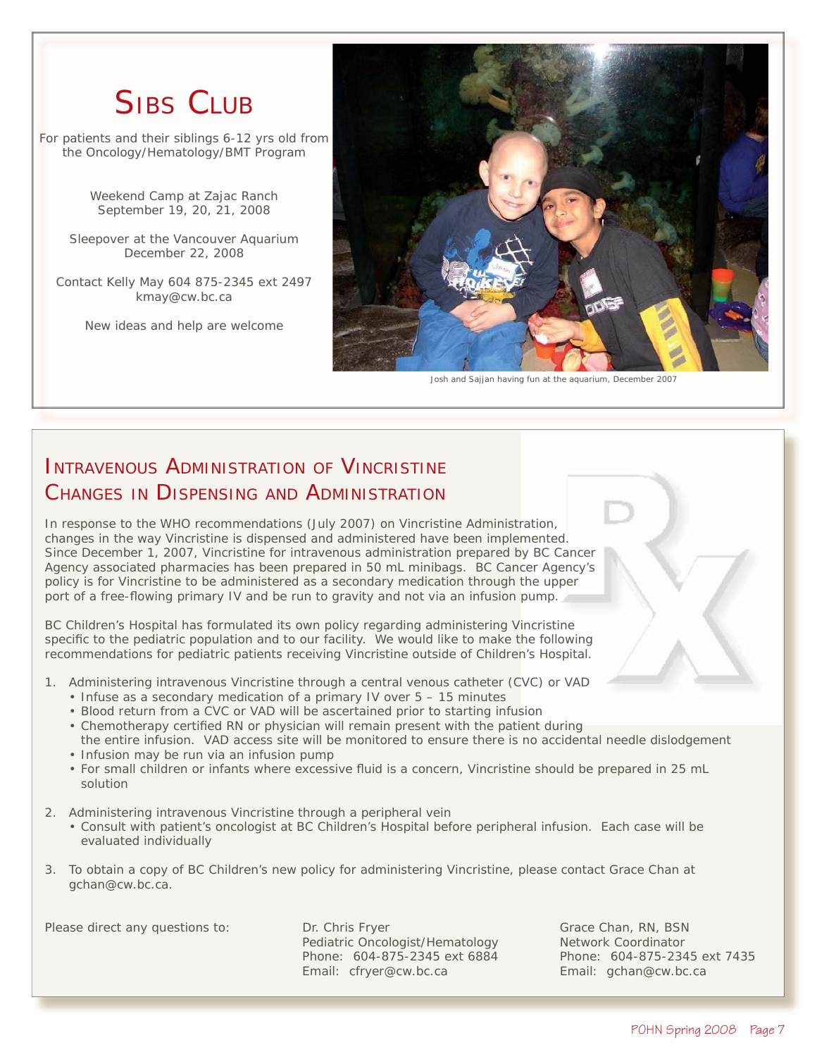# **SIBS CLUB**

For patients and their siblings 6-12 yrs old from the Oncology/Hematology/BMT Program

> Weekend Camp at Zajac Ranch September 19, 20, 21, 2008

Sleepover at the Vancouver Aquarium December 22, 2008

Contact Kelly May 604 875-2345 ext 2497 kmay@cw.bc.ca

New ideas and help are welcome



Josh and Sajjan having fun at the aquarium, December 2007

# INTRAVENOUS ADMINISTRATION OF VINCRISTINE CHANGES IN DISPENSING AND ADMINISTRATION

In response to the WHO recommendations (July 2007) on Vincristine Administration, changes in the way Vincristine is dispensed and administered have been implemented. Since December 1, 2007, Vincristine for intravenous administration prepared by BC Cancer Agency associated pharmacies has been prepared in 50 mL minibags. BC Cancer Agency's policy is for Vincristine to be administered as a secondary medication through the upper port of a free-flowing primary IV and be run to gravity and not via an infusion pump.

BC Children's Hospital has formulated its own policy regarding administering Vincristine specific to the pediatric population and to our facility. We would like to make the following recommendations for pediatric patients receiving Vincristine outside of Children's Hospital.

- 1. Administering intravenous Vincristine through a central venous catheter (CVC) or VAD
	- Infuse as a secondary medication of a primary IV over 5 15 minutes
	- Blood return from a CVC or VAD will be ascertained prior to starting infusion
	- Chemotherapy certified RN or physician will remain present with the patient during
	- the entire infusion. VAD access site will be monitored to ensure there is no accidental needle dislodgement • Infusion may be run via an infusion pump
	- For small children or infants where excessive fluid is a concern, Vincristine should be prepared in 25 mL solution
- 2. Administering intravenous Vincristine through a peripheral vein
	- Consult with patient's oncologist at BC Children's Hospital before peripheral infusion. Each case will be evaluated individually
- 3. To obtain a copy of BC Children's new policy for administering Vincristine, please contact Grace Chan at gchan@cw.bc.ca.

Please direct any questions to: Dr. Chris Fryer Grace Chan, RN, BSN Pediatric Oncologist/Hematology Network Coordinator Phone: 604-875-2345 ext 6884 Phone: 604-875-2345 ext 7435<br>
Email: cfryer@cw.bc.ca Email: gchan@cw.bc.ca Email: cfryer@cw.bc.ca